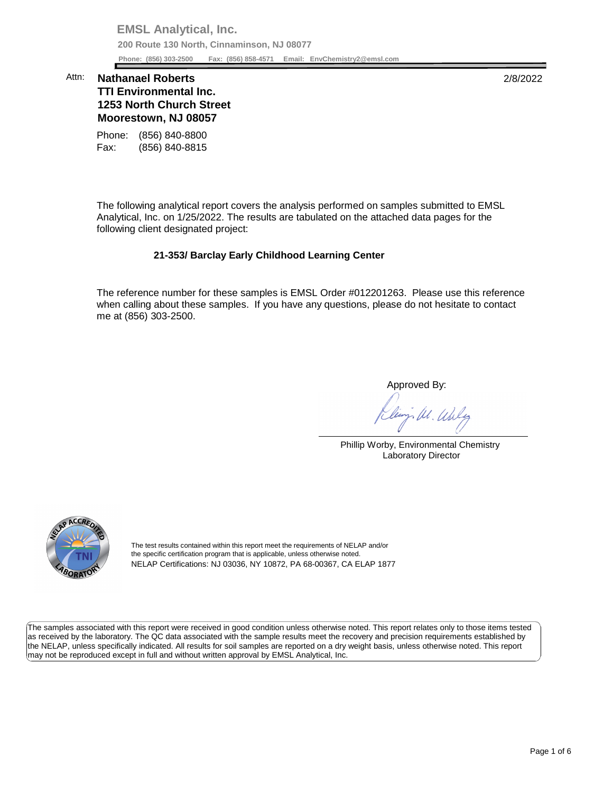**EMSL Analytical, Inc. 200 Route 130 North, Cinnaminson, NJ 08077 Phone: (856) 303-2500 Fax: (856) 858-4571 Email: [EnvChemistry2@emsl.com](mailto:EnvChemistry2@emsl.com)**  Phone: (856) 303-2500

## **Moorestown, NJ 08057**  Attn: **Nathanael Roberts** 2/8/2022 **TTI Environmental Inc. 1253 North Church Street**

Phone: (856) 840-8800 Fax: (856) 840-8815

 The following analytical report covers the analysis performed on samples submitted to EMSL Analytical, Inc. on 1/25/2022. The results are tabulated on the attached data pages for the following client designated project:

## **21-353/ Barclay Early Childhood Learning Center**

 The reference number for these samples is EMSL Order #012201263. Please use this reference when calling about these samples. If you have any questions, please do not hesitate to contact me at (856) 303-2500.

Approved By:

- M. Unly

Phillip Worby, Environmental Chemistry Laboratory Director



The test results contained within this report meet the requirements of NELAP and/or the specific certification program that is applicable, unless otherwise noted. NELAP Certifications: NJ 03036, NY 10872, PA 68-00367, CA ELAP 1877

 The samples associated with this report were received in good condition unless otherwise noted. This report relates only to those items tested as received by the laboratory. The QC data associated with the sample results meet the recovery and precision requirements established by the NELAP, unless specifically indicated. All results for soil samples are reported on a dry weight basis, unless otherwise noted. This report may not be reproduced except in full and without written approval by EMSL Analytical, Inc.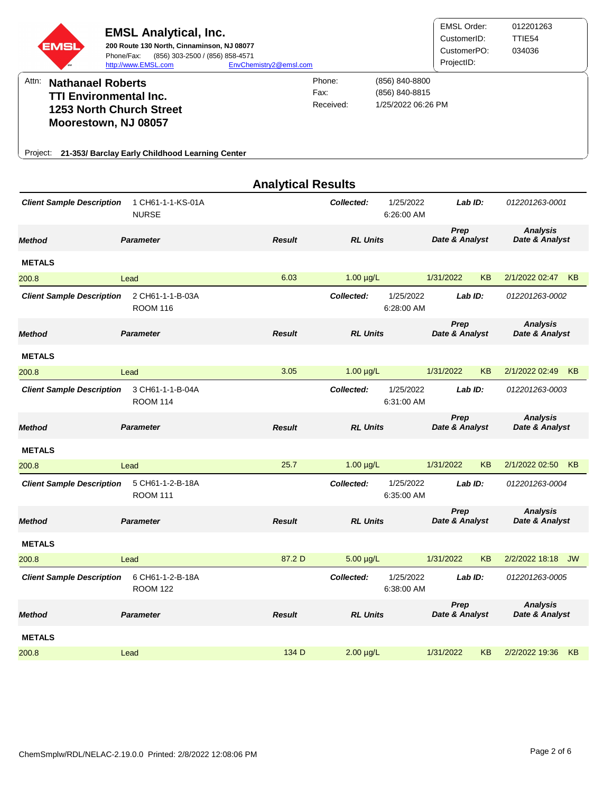| EMS<br>Attn:<br><b>Nathanael Roberts</b><br><b>TTI Environmental Inc.</b> | <b>EMSL Analytical, Inc.</b><br>200 Route 130 North, Cinnaminson, NJ 08077<br>(856) 303-2500 / (856) 858-4571<br>Phone/Fax:<br>http://www.EMSL.com | EnvChemistry2@emsl.com    | Phone:<br>Fax:<br>Received: | (856) 840-8800<br>(856) 840-8815<br>1/25/2022 06:26 PM | <b>EMSL Order:</b><br>CustomerID:<br>CustomerPO:<br>ProjectID: |                        | 012201263<br>TTIE54<br>034036     |                                   |  |
|---------------------------------------------------------------------------|----------------------------------------------------------------------------------------------------------------------------------------------------|---------------------------|-----------------------------|--------------------------------------------------------|----------------------------------------------------------------|------------------------|-----------------------------------|-----------------------------------|--|
| Moorestown, NJ 08057                                                      | <b>1253 North Church Street</b>                                                                                                                    |                           |                             |                                                        |                                                                |                        |                                   |                                   |  |
|                                                                           | Project: 21-353/ Barclay Early Childhood Learning Center                                                                                           |                           |                             |                                                        |                                                                |                        |                                   |                                   |  |
|                                                                           |                                                                                                                                                    | <b>Analytical Results</b> |                             |                                                        |                                                                |                        |                                   |                                   |  |
| <b>Client Sample Description</b>                                          | 1 CH61-1-1-KS-01A<br><b>NURSE</b>                                                                                                                  |                           | Collected:                  | 1/25/2022<br>6:26:00 AM                                |                                                                | Lab ID:                | 012201263-0001                    |                                   |  |
| <b>Method</b>                                                             | <b>Parameter</b>                                                                                                                                   | <b>Result</b>             |                             | <b>RL Units</b>                                        |                                                                | Prep<br>Date & Analyst | <b>Analysis</b><br>Date & Analyst |                                   |  |
| <b>METALS</b>                                                             |                                                                                                                                                    |                           |                             |                                                        |                                                                |                        |                                   |                                   |  |
| 200.8                                                                     | Lead                                                                                                                                               | 6.03                      | $1.00 \mu g/L$              |                                                        | 1/31/2022                                                      | KB                     | 2/1/2022 02:47                    | KB                                |  |
| <b>Client Sample Description</b>                                          | 2 CH61-1-1-B-03A<br><b>ROOM 116</b>                                                                                                                |                           | Collected:                  | 1/25/2022<br>6:28:00 AM                                |                                                                | Lab ID:                | 012201263-0002                    |                                   |  |
| <b>Method</b>                                                             | <b>Parameter</b>                                                                                                                                   | <b>Result</b>             |                             | <b>RL Units</b>                                        |                                                                | Prep<br>Date & Analyst |                                   | <b>Analysis</b><br>Date & Analyst |  |
| <b>METALS</b>                                                             |                                                                                                                                                    |                           |                             |                                                        |                                                                |                        |                                   |                                   |  |
| 200.8                                                                     | Lead                                                                                                                                               | 3.05                      | $1.00 \mu g/L$              |                                                        | 1/31/2022                                                      | KB                     | 2/1/2022 02:49                    | <b>KB</b>                         |  |
| <b>Client Sample Description</b>                                          | 3 CH61-1-1-B-04A<br><b>ROOM 114</b>                                                                                                                |                           | Collected:                  | 1/25/2022<br>6:31:00 AM                                |                                                                | Lab ID:                | 012201263-0003                    |                                   |  |
| <b>Method</b>                                                             | <b>Parameter</b>                                                                                                                                   | <b>Result</b>             | <b>RL Units</b>             |                                                        | Prep<br>Date & Analyst                                         |                        | <b>Analysis</b><br>Date & Analyst |                                   |  |
| <b>METALS</b>                                                             |                                                                                                                                                    |                           |                             |                                                        |                                                                |                        |                                   |                                   |  |
| 200.8                                                                     | Lead                                                                                                                                               | 25.7                      | $1.00 \mu g/L$              |                                                        | 1/31/2022                                                      | KB                     | 2/1/2022 02:50 KB                 |                                   |  |
| <b>Client Sample Description</b>                                          | 5 CH61-1-2-B-18A<br><b>ROOM 111</b>                                                                                                                |                           | Collected:                  | 1/25/2022<br>6:35:00 AM                                |                                                                | Lab ID:                | 012201263-0004                    |                                   |  |
| <b>Method</b>                                                             | <b>Parameter</b>                                                                                                                                   | <b>Result</b>             | <b>RL Units</b>             |                                                        | Prep<br>Date & Analyst                                         |                        | <b>Analysis</b><br>Date & Analyst |                                   |  |
| <b>METALS</b>                                                             |                                                                                                                                                    |                           |                             |                                                        |                                                                |                        |                                   |                                   |  |
| 200.8                                                                     | Lead                                                                                                                                               | 87.2 D                    | $5.00 \mu g/L$              |                                                        | 1/31/2022                                                      | KB                     | 2/2/2022 18:18 JW                 |                                   |  |
| <b>Client Sample Description</b>                                          | 6 CH61-1-2-B-18A<br><b>ROOM 122</b>                                                                                                                |                           | Collected:                  | 1/25/2022<br>6:38:00 AM                                |                                                                | Lab ID:                | 012201263-0005                    |                                   |  |
| <b>Method</b>                                                             | <b>Parameter</b>                                                                                                                                   | <b>Result</b>             | <b>RL Units</b>             |                                                        | Prep<br>Date & Analyst                                         |                        | <b>Analysis</b><br>Date & Analyst |                                   |  |

200.8 Lead 134 D 2.00 µg/L 1/31/2022 KB 2/2/2022 19:36 KB

**METALS**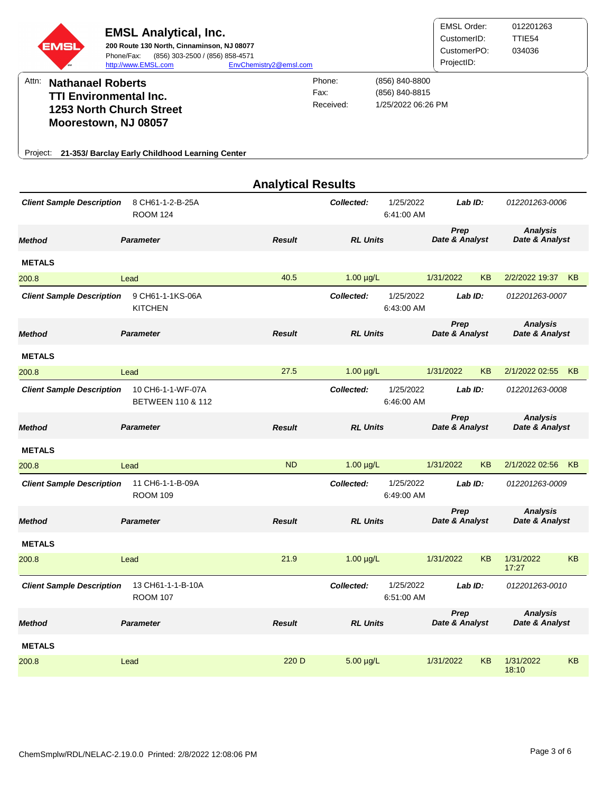| EMSI                                                                                                                                                                               | <b>EMSL Analytical, Inc.</b><br>200 Route 130 North, Cinnaminson, NJ 08077<br>(856) 303-2500 / (856) 858-4571<br>Phone/Fax:<br>http://www.EMSL.com | EnvChemistry2@emsl.com      |                                                        |                         | <b>EMSL Order:</b><br>CustomerID:<br>CustomerPO:<br>ProjectID: |           | 012201263<br>TTIE54<br>034036     |    |
|------------------------------------------------------------------------------------------------------------------------------------------------------------------------------------|----------------------------------------------------------------------------------------------------------------------------------------------------|-----------------------------|--------------------------------------------------------|-------------------------|----------------------------------------------------------------|-----------|-----------------------------------|----|
| Attn:<br><b>Nathanael Roberts</b><br><b>TTI Environmental Inc.</b><br>1253 North Church Street<br>Moorestown, NJ 08057<br>Project: 21-353/ Barclay Early Childhood Learning Center |                                                                                                                                                    | Phone:<br>Fax:<br>Received: | (856) 840-8800<br>(856) 840-8815<br>1/25/2022 06:26 PM |                         |                                                                |           |                                   |    |
|                                                                                                                                                                                    |                                                                                                                                                    | <b>Analytical Results</b>   |                                                        |                         |                                                                |           |                                   |    |
| <b>Client Sample Description</b>                                                                                                                                                   | 8 CH61-1-2-B-25A<br><b>ROOM 124</b>                                                                                                                |                             | Collected:                                             | 1/25/2022<br>6:41:00 AM | Lab ID:                                                        |           | 012201263-0006                    |    |
| Method                                                                                                                                                                             | <b>Parameter</b>                                                                                                                                   | <b>Result</b>               | <b>RL Units</b>                                        |                         | Prep<br>Date & Analyst                                         |           | <b>Analysis</b><br>Date & Analyst |    |
| <b>METALS</b>                                                                                                                                                                      |                                                                                                                                                    |                             |                                                        |                         |                                                                |           |                                   |    |
| 200.8                                                                                                                                                                              | Lead                                                                                                                                               | 40.5                        | $1.00 \mu g/L$                                         |                         | 1/31/2022                                                      | <b>KB</b> | 2/2/2022 19:37                    | KB |
| <b>Client Sample Description</b>                                                                                                                                                   | 9 CH61-1-1KS-06A<br><b>KITCHEN</b>                                                                                                                 |                             | Collected:                                             | 1/25/2022<br>6:43:00 AM | Lab ID:                                                        |           | 012201263-0007                    |    |
| <b>Method</b>                                                                                                                                                                      | <b>Parameter</b>                                                                                                                                   | <b>Result</b>               | <b>RL Units</b>                                        |                         | Prep<br>Date & Analyst                                         |           | <b>Analysis</b><br>Date & Analyst |    |
| <b>METALS</b>                                                                                                                                                                      |                                                                                                                                                    |                             |                                                        |                         |                                                                |           |                                   |    |
| 200.8                                                                                                                                                                              | Lead                                                                                                                                               | 27.5                        | $1.00 \mu g/L$                                         |                         | 1/31/2022                                                      | KB        | 2/1/2022 02:55                    | KB |
| <b>Client Sample Description</b>                                                                                                                                                   | 10 CH6-1-1-WF-07A<br><b>BETWEEN 110 &amp; 112</b>                                                                                                  |                             | Collected:                                             | 1/25/2022<br>6:46:00 AM | Lab ID:                                                        |           | 012201263-0008                    |    |
| <b>Method</b>                                                                                                                                                                      | <b>Parameter</b>                                                                                                                                   | <b>Result</b>               | <b>RL Units</b>                                        |                         | Prep<br>Date & Analyst                                         |           | Analysis<br>Date & Analyst        |    |
| <b>METALS</b>                                                                                                                                                                      |                                                                                                                                                    |                             |                                                        |                         |                                                                |           |                                   |    |
| 200.8                                                                                                                                                                              | Lead                                                                                                                                               | <b>ND</b>                   | $1.00 \mu g/L$                                         |                         | 1/31/2022                                                      | <b>KB</b> | 2/1/2022 02:56                    | KB |
| <b>Client Sample Description</b>                                                                                                                                                   | 11 CH6-1-1-B-09A<br><b>ROOM 109</b>                                                                                                                |                             | Collected:                                             | 1/25/2022<br>6:49:00 AM | Lab ID:                                                        |           | 012201263-0009                    |    |
| Method                                                                                                                                                                             | <b>Parameter</b>                                                                                                                                   | <b>Result</b>               | <b>RL Units</b>                                        |                         | Prep<br>Date & Analyst                                         |           | <b>Analysis</b><br>Date & Analyst |    |
| <b>METALS</b>                                                                                                                                                                      |                                                                                                                                                    |                             |                                                        |                         |                                                                |           |                                   |    |
| 200.8                                                                                                                                                                              | Lead                                                                                                                                               | 21.9                        | $1.00 \mu g/L$                                         |                         | 1/31/2022                                                      | <b>KB</b> | 1/31/2022<br>17:27                | KB |
| <b>Client Sample Description</b>                                                                                                                                                   | 13 CH61-1-1-B-10A<br><b>ROOM 107</b>                                                                                                               |                             | Collected:                                             | 1/25/2022<br>6:51:00 AM | Lab ID:                                                        |           | 012201263-0010                    |    |
| Method                                                                                                                                                                             | <b>Parameter</b>                                                                                                                                   | <b>Result</b>               | <b>RL Units</b>                                        |                         | Prep<br>Date & Analyst                                         |           | <b>Analysis</b><br>Date & Analyst |    |
| <b>METALS</b>                                                                                                                                                                      |                                                                                                                                                    |                             |                                                        |                         |                                                                |           |                                   |    |
| 200.8                                                                                                                                                                              | Lead                                                                                                                                               | 220 D                       | $5.00 \mu g/L$                                         |                         | 1/31/2022                                                      | <b>KB</b> | 1/31/2022<br>18:10                | KB |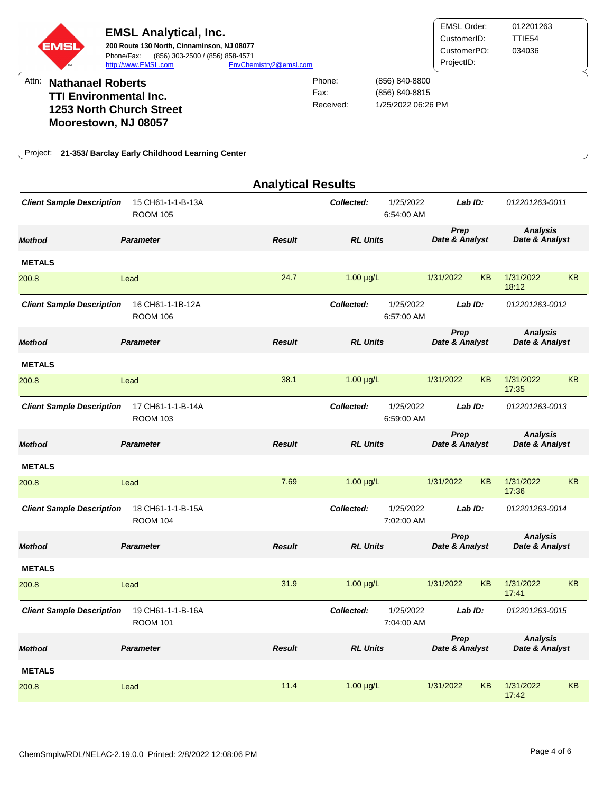| <b>EMSL</b> | <b>EMSL Analytical, Inc.</b><br>200 Route 130 North, Cinnaminson, NJ 08077<br>(856) 303-2500 / (856) 858-4571<br>Phone/Fax:<br>http://www.EMSL.com | EnvChemistry2@emsl.com      |                                                        | <b>EMSL Order:</b><br>CustomerID:<br>CustomerPO:<br>ProjectID: | 012201263<br>TTIE <sub>54</sub><br>034036 |
|-------------|----------------------------------------------------------------------------------------------------------------------------------------------------|-----------------------------|--------------------------------------------------------|----------------------------------------------------------------|-------------------------------------------|
| Attn:       | <b>Nathanael Roberts</b><br><b>TTI Environmental Inc.</b><br><b>1253 North Church Street</b><br>Moorestown, NJ 08057                               | Phone:<br>Fax:<br>Received: | (856) 840-8800<br>(856) 840-8815<br>1/25/2022 06:26 PM |                                                                |                                           |
| Project:    | 21-353/ Barclay Early Childhood Learning Center                                                                                                    |                             |                                                        |                                                                |                                           |

|                                  |                                      | <b>Analytical Results</b> |                 |                                    |                        |           |                                   |           |                                   |  |
|----------------------------------|--------------------------------------|---------------------------|-----------------|------------------------------------|------------------------|-----------|-----------------------------------|-----------|-----------------------------------|--|
| <b>Client Sample Description</b> | 15 CH61-1-1-B-13A<br><b>ROOM 105</b> |                           | Collected:      | 1/25/2022<br>6:54:00 AM            | Lab ID:                |           | 012201263-0011                    |           |                                   |  |
| <b>Method</b>                    | <b>Parameter</b>                     | <b>Result</b>             | <b>RL Units</b> |                                    | Prep<br>Date & Analyst |           | <b>Analysis</b><br>Date & Analyst |           |                                   |  |
| <b>METALS</b>                    |                                      |                           |                 |                                    |                        |           |                                   |           |                                   |  |
| 200.8                            | Lead                                 | 24.7                      | $1.00 \mu g/L$  |                                    | 1/31/2022              | <b>KB</b> | 1/31/2022<br>18:12                | <b>KB</b> |                                   |  |
| <b>Client Sample Description</b> | 16 CH61-1-1B-12A<br><b>ROOM 106</b>  |                           | Collected:      | 1/25/2022<br>6:57:00 AM            | Lab ID:                |           | 012201263-0012                    |           |                                   |  |
| <b>Method</b>                    | <b>Parameter</b>                     | <b>Result</b>             | <b>RL Units</b> |                                    | Prep<br>Date & Analyst |           | <b>Analysis</b><br>Date & Analyst |           |                                   |  |
| <b>METALS</b>                    |                                      |                           |                 |                                    |                        |           |                                   |           |                                   |  |
| 200.8                            | Lead                                 | 38.1                      | $1.00 \mu g/L$  |                                    | 1/31/2022              | <b>KB</b> | 1/31/2022<br>17:35                | KB        |                                   |  |
| <b>Client Sample Description</b> | 17 CH61-1-1-B-14A<br><b>ROOM 103</b> |                           | Collected:      | 1/25/2022<br>Lab ID:<br>6:59:00 AM |                        |           | 012201263-0013                    |           |                                   |  |
| Method                           | <b>Parameter</b>                     | <b>Result</b>             | <b>RL Units</b> |                                    | Prep<br>Date & Analyst |           |                                   |           | <b>Analysis</b><br>Date & Analyst |  |
| <b>METALS</b>                    |                                      |                           |                 |                                    |                        |           |                                   |           |                                   |  |
| 200.8                            | Lead                                 | 7.69                      | $1.00 \mu g/L$  |                                    | 1/31/2022              | <b>KB</b> | 1/31/2022<br>17:36                | <b>KB</b> |                                   |  |
| <b>Client Sample Description</b> | 18 CH61-1-1-B-15A<br><b>ROOM 104</b> |                           | Collected:      | 1/25/2022<br>7:02:00 AM            | Lab ID:                |           | 012201263-0014                    |           |                                   |  |
| Method                           | <b>Parameter</b>                     | <b>Result</b>             | <b>RL Units</b> |                                    | Prep<br>Date & Analyst |           | Analysis<br>Date & Analyst        |           |                                   |  |
| <b>METALS</b>                    |                                      |                           |                 |                                    |                        |           |                                   |           |                                   |  |
| 200.8                            | Lead                                 | 31.9                      | $1.00 \mu g/L$  |                                    | 1/31/2022              | <b>KB</b> | 1/31/2022<br>17:41                | <b>KB</b> |                                   |  |
| <b>Client Sample Description</b> | 19 CH61-1-1-B-16A<br><b>ROOM 101</b> |                           | Collected:      | 1/25/2022<br>7:04:00 AM            | Lab ID:                |           | 012201263-0015                    |           |                                   |  |
| <b>Method</b>                    | <b>Parameter</b>                     | <b>Result</b>             | <b>RL Units</b> |                                    | Prep<br>Date & Analyst |           | <b>Analysis</b><br>Date & Analyst |           |                                   |  |
| <b>METALS</b>                    |                                      |                           |                 |                                    |                        |           |                                   |           |                                   |  |
| 200.8                            | Lead                                 | 11.4                      | $1.00 \mu g/L$  |                                    | 1/31/2022              | <b>KB</b> | 1/31/2022<br>17:42                | <b>KB</b> |                                   |  |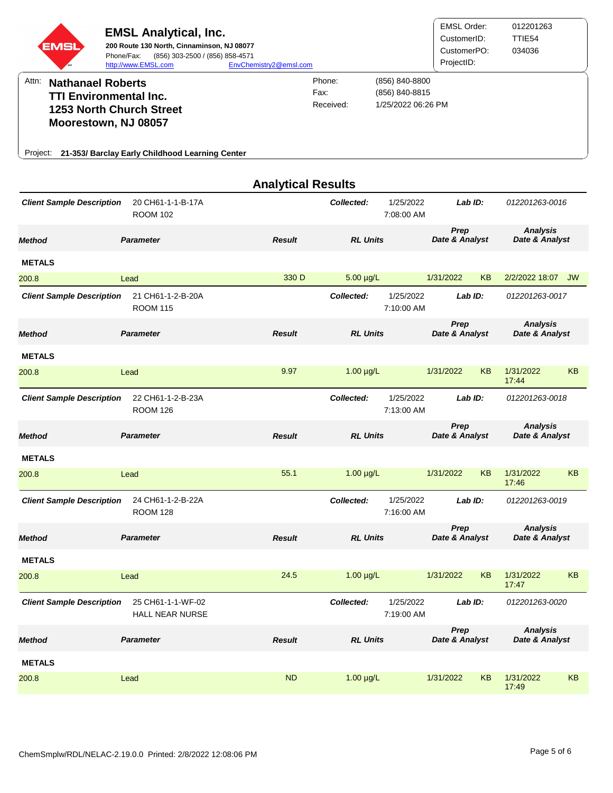| EMSI                                                                                                   | <b>EMSL Analytical, Inc.</b><br>200 Route 130 North, Cinnaminson, NJ 08077<br>Phone/Fax:<br>(856) 303-2500 / (856) 858-4571<br>http://www.EMSL.com | EnvChemistry2@emsl.com    |                     |                                                        | <b>EMSL Order:</b><br>CustomerID:<br>CustomerPO:<br>ProjectID: |    | 012201263<br>TTIE54<br>034036     |           |
|--------------------------------------------------------------------------------------------------------|----------------------------------------------------------------------------------------------------------------------------------------------------|---------------------------|---------------------|--------------------------------------------------------|----------------------------------------------------------------|----|-----------------------------------|-----------|
| Attn:<br><b>Nathanael Roberts</b><br><b>TTI Environmental Inc.</b><br>Moorestown, NJ 08057<br>Project: | <b>1253 North Church Street</b><br>21-353/ Barclay Early Childhood Learning Center                                                                 | Fax:                      | Phone:<br>Received: | (856) 840-8800<br>(856) 840-8815<br>1/25/2022 06:26 PM |                                                                |    |                                   |           |
|                                                                                                        |                                                                                                                                                    | <b>Analytical Results</b> |                     |                                                        |                                                                |    |                                   |           |
| <b>Client Sample Description</b>                                                                       | 20 CH61-1-1-B-17A<br><b>ROOM 102</b>                                                                                                               |                           | Collected:          | 1/25/2022<br>7:08:00 AM                                | Lab ID:                                                        |    | 012201263-0016                    |           |
| <b>Method</b>                                                                                          | <b>Parameter</b>                                                                                                                                   | <b>Result</b>             | <b>RL Units</b>     |                                                        | Prep<br>Date & Analyst                                         |    | <b>Analysis</b><br>Date & Analyst |           |
| <b>METALS</b>                                                                                          |                                                                                                                                                    |                           |                     |                                                        |                                                                |    |                                   |           |
| 200.8                                                                                                  | Lead                                                                                                                                               | 330 D                     | $5.00 \mu g/L$      |                                                        | 1/31/2022                                                      | KB | 2/2/2022 18:07 JW                 |           |
| <b>Client Sample Description</b>                                                                       | 21 CH61-1-2-B-20A<br><b>ROOM 115</b>                                                                                                               |                           | Collected:          | 1/25/2022<br>7:10:00 AM                                | Lab ID:                                                        |    | 012201263-0017                    |           |
| <b>Method</b>                                                                                          | <b>Parameter</b>                                                                                                                                   | <b>Result</b>             | <b>RL Units</b>     |                                                        | Prep<br>Date & Analyst                                         |    | <b>Analysis</b><br>Date & Analyst |           |
| <b>METALS</b>                                                                                          |                                                                                                                                                    |                           |                     |                                                        |                                                                |    |                                   |           |
| 200.8                                                                                                  | Lead                                                                                                                                               | 9.97                      | $1.00 \mu g/L$      |                                                        | 1/31/2022                                                      | KB | 1/31/2022<br>17:44                | <b>KB</b> |
| <b>Client Sample Description</b>                                                                       | 22 CH61-1-2-B-23A<br><b>ROOM 126</b>                                                                                                               |                           | Collected:          | 1/25/2022<br>7:13:00 AM                                | Lab ID:                                                        |    | 012201263-0018                    |           |
| <b>Method</b>                                                                                          | <b>Parameter</b>                                                                                                                                   | <b>Result</b>             | <b>RL Units</b>     |                                                        | <b>Prep</b><br>Date & Analyst                                  |    | <b>Analysis</b><br>Date & Analyst |           |
| <b>METALS</b>                                                                                          |                                                                                                                                                    |                           |                     |                                                        |                                                                |    |                                   |           |
| 200.8                                                                                                  | Lead                                                                                                                                               | 55.1                      | $1.00 \mu g/L$      |                                                        | 1/31/2022                                                      | KB | 1/31/2022<br>17:46                | KB        |
| <b>Client Sample Description</b>                                                                       | 24 CH61-1-2-B-22A<br><b>ROOM 128</b>                                                                                                               |                           | Collected:          | 1/25/2022<br>7:16:00 AM                                | Lab ID:                                                        |    | 012201263-0019                    |           |
| <b>Method</b>                                                                                          | <b>Parameter</b>                                                                                                                                   | <b>Result</b>             | <b>RL Units</b>     |                                                        | Prep<br>Date & Analyst                                         |    | <b>Analysis</b><br>Date & Analyst |           |
| <b>METALS</b>                                                                                          |                                                                                                                                                    |                           |                     |                                                        |                                                                |    |                                   |           |
| 200.8                                                                                                  | Lead                                                                                                                                               | 24.5                      | $1.00 \mu g/L$      |                                                        | 1/31/2022                                                      | KB | 1/31/2022<br>17:47                | <b>KB</b> |
| <b>Client Sample Description</b>                                                                       | 25 CH61-1-1-WF-02<br><b>HALL NEAR NURSE</b>                                                                                                        |                           | Collected:          | 1/25/2022<br>7:19:00 AM                                | Lab ID:                                                        |    | 012201263-0020                    |           |
| <b>Method</b>                                                                                          | <b>Parameter</b>                                                                                                                                   | <b>Result</b>             | <b>RL Units</b>     |                                                        | Prep<br>Date & Analyst                                         |    | <b>Analysis</b><br>Date & Analyst |           |
| <b>METALS</b>                                                                                          |                                                                                                                                                    |                           |                     |                                                        |                                                                |    |                                   |           |
| 200.8                                                                                                  | Lead                                                                                                                                               | <b>ND</b>                 | $1.00 \mu g/L$      |                                                        | 1/31/2022                                                      | KB | 1/31/2022<br>17:49                | KB        |